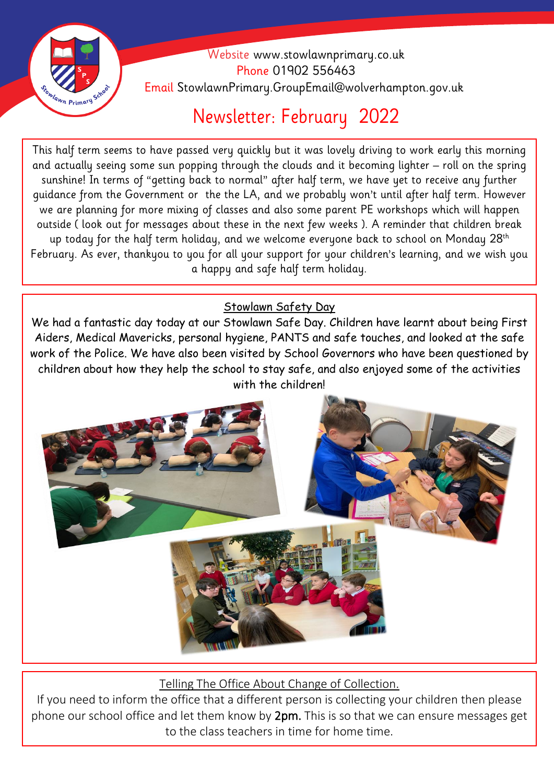

 Website [www.stowlawnprimary.co.uk](http://www.stowlawnprimary.co.uk/)  Phone 01902 556463 Email StowlawnPrimary.GroupEmail@wolverhampton.gov.uk

## Newsletter: February 2022

and actually seeing some sun popping through the clouds and it becoming lighter – roll on the spring This half term seems to have passed very quickly but it was lovely driving to work early this morning sunshine! In terms of "getting back to normal" after half term, we have yet to receive any further guidance from the Government or the the LA, and we probably won't until after half term. However we are planning for more mixing of classes and also some parent PE workshops which will happen outside ( look out for messages about these in the next few weeks ). A reminder that children break up today for the half term holiday, and we welcome everyone back to school on Monday  $28<sup>th</sup>$ February. As ever, thankyou to you for all your support for your children's learning, and we wish you a happy and safe half term holiday.

## Stowlawn Safety Day

We had a fantastic day today at our Stowlawn Safe Day. Children have learnt about being First Aiders, Medical Mavericks, personal hygiene, PANTS and safe touches, and looked at the safe work of the Police. We have also been visited by School Governors who have been questioned by children about how they help the school to stay safe, and also enjoyed some of the activities with the children!



Telling The Office About Change of Collection.

If you need to inform the office that a different person is collecting your children then please phone our school office and let them know by 2pm. This is so that we can ensure messages get to the class teachers in time for home time.